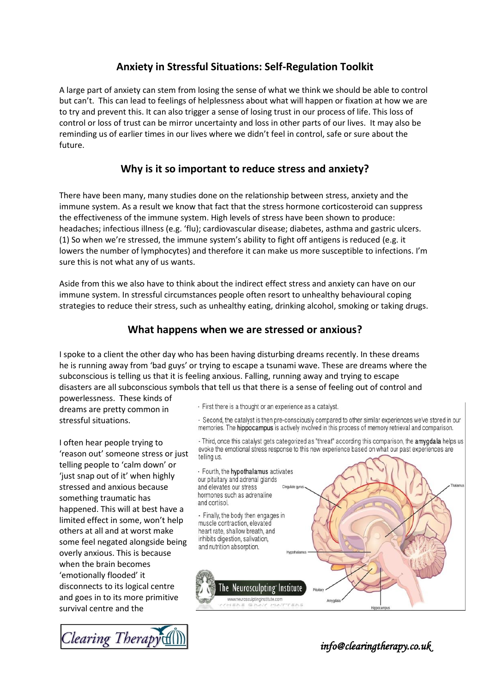# **Anxiety in Stressful Situations: Self-Regulation Toolkit**

A large part of anxiety can stem from losing the sense of what we think we should be able to control but can't. This can lead to feelings of helplessness about what will happen or fixation at how we are to try and prevent this. It can also trigger a sense of losing trust in our process of life. This loss of control or loss of trust can be mirror uncertainty and loss in other parts of our lives. It may also be reminding us of earlier times in our lives where we didn't feel in control, safe or sure about the future.

# **Why is it so important to reduce stress and anxiety?**

There have been many, many studies done on the relationship between stress, anxiety and the immune system. As a result we know that fact that the stress hormone corticosteroid can suppress the effectiveness of the immune system. High levels of stress have been shown to produce: headaches; infectious illness (e.g. 'flu); cardiovascular disease; diabetes, asthma and gastric ulcers. (1) So when we're stressed, the immune system's ability to fight off antigens is reduced (e.g. it lowers the number of lymphocytes) and therefore it can make us more susceptible to infections. I'm sure this is not what any of us wants.

Aside from this we also have to think about the indirect effect stress and anxiety can have on our immune system. In stressful circumstances people often resort to unhealthy behavioural coping strategies to reduce their stress, such as unhealthy eating, drinking alcohol, smoking or taking drugs.

# **What happens when we are stressed or anxious?**

I spoke to a client the other day who has been having disturbing dreams recently. In these dreams he is running away from 'bad guys' or trying to escape a tsunami wave. These are dreams where the subconscious is telling us that it is feeling anxious. Falling, running away and trying to escape disasters are all subconscious symbols that tell us that there is a sense of feeling out of control and

powerlessness. These kinds of dreams are pretty common in stressful situations.

I often hear people trying to 'reason out' someone stress or just telling people to 'calm down' or 'just snap out of it' when highly stressed and anxious because something traumatic has happened. This will at best have a limited effect in some, won't help others at all and at worst make some feel negated alongside being overly anxious. This is because when the brain becomes 'emotionally flooded' it disconnects to its logical centre and goes in to its more primitive survival centre and the



- First there is a thought or an experience as a catalyst.

- Second, the catalyst is then pre-consciously compared to other similar experiences we've stored in our memories. The hippocampus is actively involved in this process of memory retrieval and comparison.

- Third, once this catalyst gets categorized as "threat" according this comparison, the amygdala helps us evoke the emotional stress response to this new experience based on what our past experiences are telling us.

- Fourth, the hypothalamus activates our pituitary and adrenal glands and elevates our stress Cinculato m hormones such as adrenaline and cortisol.

- Finally, the body then engages in muscle contraction, elevated heart rate, shallow breath, and inhibits digestion, salivation, and nutrition absorption.



*info@clearingtherapy.co.uk*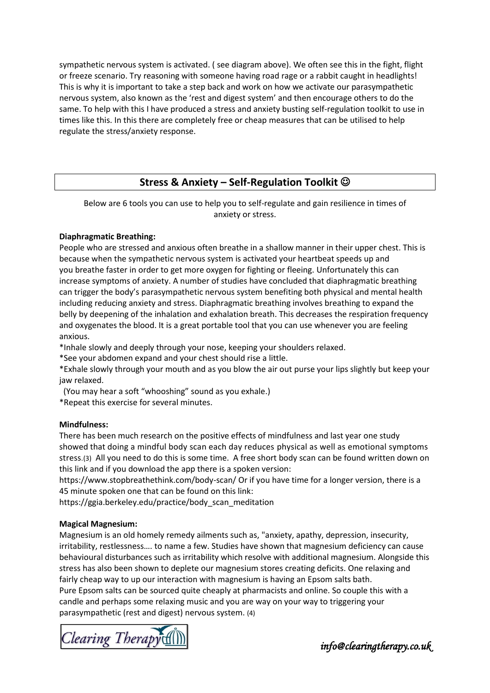sympathetic nervous system is activated. ( see diagram above). We often see this in the fight, flight or freeze scenario. Try reasoning with someone having road rage or a rabbit caught in headlights! This is why it is important to take a step back and work on how we activate our parasympathetic nervous system, also known as the 'rest and digest system' and then encourage others to do the same. To help with this I have produced a stress and anxiety busting self-regulation toolkit to use in times like this. In this there are completely free or cheap measures that can be utilised to help regulate the stress/anxiety response.

## **Stress & Anxiety – Self-Regulation Toolkit**

Below are 6 tools you can use to help you to self-regulate and gain resilience in times of anxiety or stress.

### **Diaphragmatic Breathing:**

People who are stressed and anxious often breathe in a shallow manner in their upper chest. This is because when the sympathetic nervous system is activated your heartbeat speeds up and you breathe faster in order to get more oxygen for fighting or fleeing. Unfortunately this can increase symptoms of anxiety. A number of studies have concluded that diaphragmatic breathing can trigger the body's parasympathetic nervous system benefiting both physical and mental health including reducing anxiety and stress. Diaphragmatic breathing involves breathing to expand the belly by deepening of the inhalation and exhalation breath. This decreases the respiration frequency and oxygenates the blood. It is a great portable tool that you can use whenever you are feeling anxious.

\*Inhale slowly and deeply through your nose, keeping your shoulders relaxed.

\*See your abdomen expand and your chest should rise a little.

\*Exhale slowly through your mouth and as you blow the air out purse your lips slightly but keep your jaw relaxed.

(You may hear a soft "whooshing" sound as you exhale.)

\*Repeat this exercise for several minutes.

### **Mindfulness:**

There has been much research on the positive effects of mindfulness and last year one study showed that doing a mindful body scan each day reduces physical as well as emotional symptoms stress.(3) All you need to do this is some time. A free short body scan can be found written down on this link and if you download the app there is a spoken version:

https://www.stopbreathethink.com/body-scan/ Or if you have time for a longer version, there is a 45 minute spoken one that can be found on this link:

https://ggia.berkeley.edu/practice/body\_scan\_meditation

### **Magical Magnesium:**

Magnesium is an old homely remedy ailments such as, "anxiety, apathy, depression, insecurity, irritability, restlessness…. to name a few. Studies have shown that magnesium deficiency can cause behavioural disturbances such as irritability which resolve with additional magnesium. Alongside this stress has also been shown to deplete our magnesium stores creating deficits. One relaxing and fairly cheap way to up our interaction with magnesium is having an Epsom salts bath. Pure Epsom salts can be sourced quite cheaply at pharmacists and online. So couple this with a candle and perhaps some relaxing music and you are way on your way to triggering your parasympathetic (rest and digest) nervous system. (4)

learing Therapy

*info@clearingtherapy.co.uk*